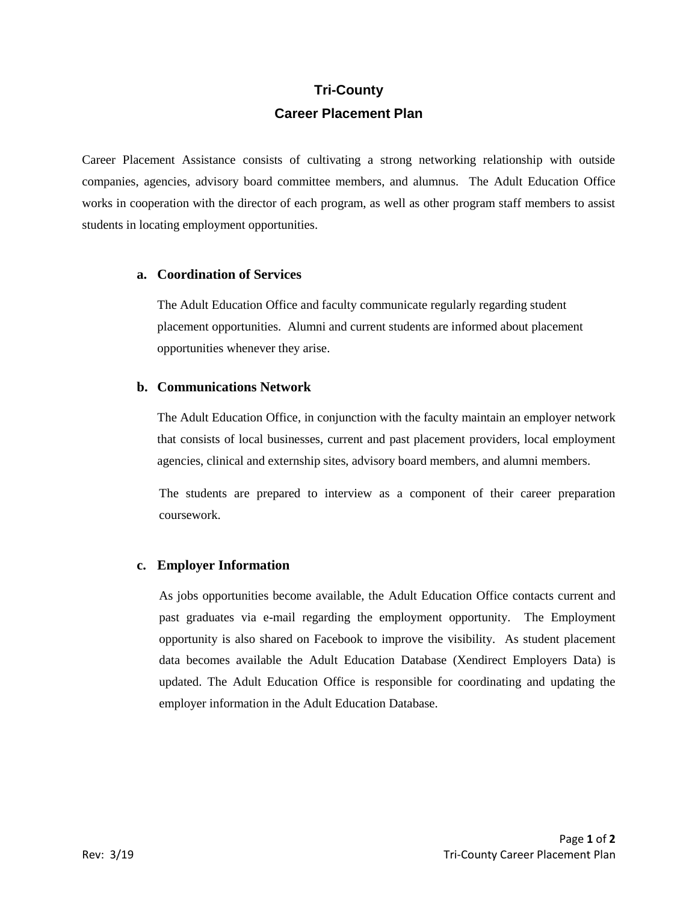# **Tri-County Career Placement Plan**

Career Placement Assistance consists of cultivating a strong networking relationship with outside companies, agencies, advisory board committee members, and alumnus. The Adult Education Office works in cooperation with the director of each program, as well as other program staff members to assist students in locating employment opportunities.

#### **a. Coordination of Services**

The Adult Education Office and faculty communicate regularly regarding student placement opportunities. Alumni and current students are informed about placement opportunities whenever they arise.

## **b. Communications Network**

The Adult Education Office, in conjunction with the faculty maintain an employer network that consists of local businesses, current and past placement providers, local employment agencies, clinical and externship sites, advisory board members, and alumni members.

The students are prepared to interview as a component of their career preparation coursework.

## **c. Employer Information**

As jobs opportunities become available, the Adult Education Office contacts current and past graduates via e-mail regarding the employment opportunity. The Employment opportunity is also shared on Facebook to improve the visibility. As student placement data becomes available the Adult Education Database (Xendirect Employers Data) is updated. The Adult Education Office is responsible for coordinating and updating the employer information in the Adult Education Database.